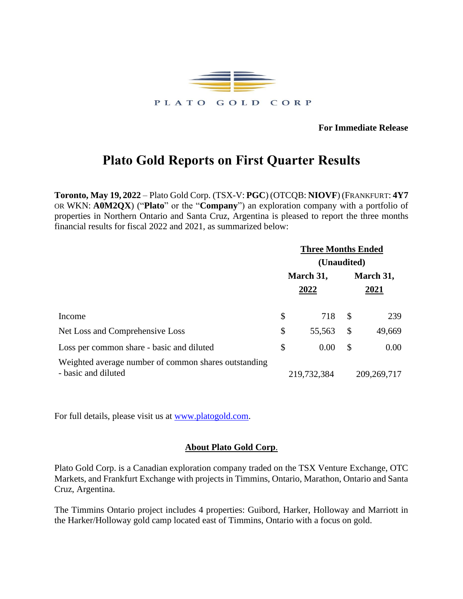

**For Immediate Release**

## **Plato Gold Reports on First Quarter Results**

**Toronto, May 19, 2022** – Plato Gold Corp. (TSX-V: **PGC**) (OTCQB: **NIOVF**) (FRANKFURT: **4Y7** OR WKN: **A0M2QX**) ("**Plato**" or the "**Company**") an exploration company with a portfolio of properties in Northern Ontario and Santa Cruz, Argentina is pleased to report the three months financial results for fiscal 2022 and 2021, as summarized below:

|                                                                             | <b>Three Months Ended</b><br>(Unaudited) |             |              |               |  |
|-----------------------------------------------------------------------------|------------------------------------------|-------------|--------------|---------------|--|
|                                                                             |                                          |             |              |               |  |
|                                                                             | March 31,                                |             | March 31,    |               |  |
|                                                                             |                                          | 2022        |              | 2021          |  |
| Income                                                                      | \$                                       | 718         | $\mathbb{S}$ | 239           |  |
| Net Loss and Comprehensive Loss                                             | \$                                       | 55,563      | \$           | 49,669        |  |
| Loss per common share - basic and diluted                                   | \$                                       | 0.00        | \$           | 0.00          |  |
| Weighted average number of common shares outstanding<br>- basic and diluted |                                          | 219,732,384 |              | 209, 269, 717 |  |

For full details, please visit us at [www.platogold.com.](http://www.platogold.com/)

## **About Plato Gold Corp**.

Plato Gold Corp. is a Canadian exploration company traded on the TSX Venture Exchange, OTC Markets, and Frankfurt Exchange with projects in Timmins, Ontario, Marathon, Ontario and Santa Cruz, Argentina.

The Timmins Ontario project includes 4 properties: Guibord, Harker, Holloway and Marriott in the Harker/Holloway gold camp located east of Timmins, Ontario with a focus on gold.